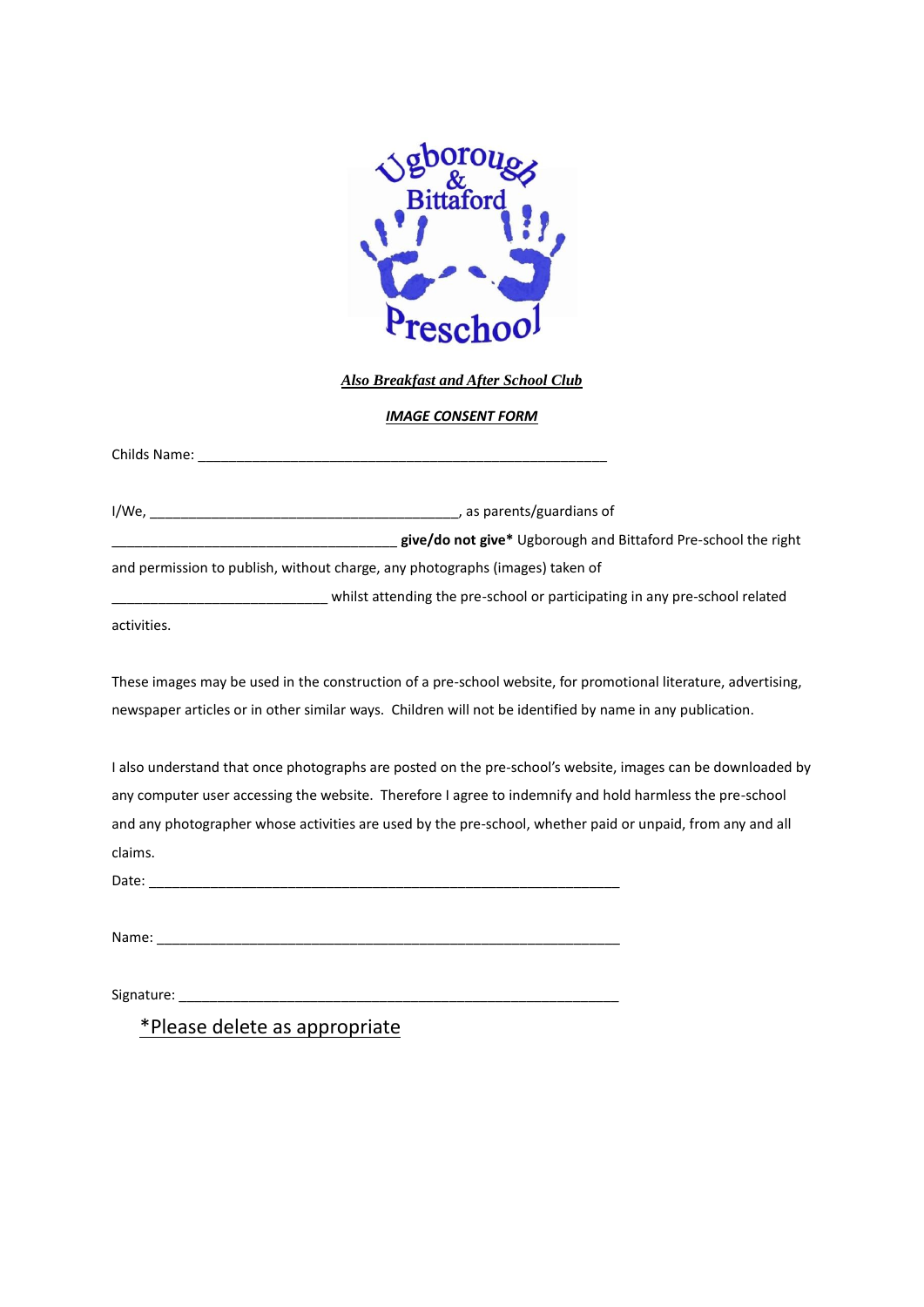

*Also Breakfast and After School Club*

*IMAGE CONSENT FORM*

Childs Name: \_\_\_\_\_\_\_\_\_\_\_\_\_\_\_\_\_\_\_\_\_\_\_\_\_\_\_\_\_\_\_\_\_\_\_\_\_\_\_\_\_\_\_\_\_\_\_\_\_\_\_\_\_

I/We, \_\_\_\_\_\_\_\_\_\_\_\_\_\_\_\_\_\_\_\_\_\_\_\_\_\_\_\_\_\_\_\_\_\_\_\_\_\_\_\_, as parents/guardians of \_\_\_\_\_\_\_\_\_\_\_\_\_\_\_\_\_\_\_\_\_\_\_\_\_\_\_\_\_\_\_\_\_\_\_\_\_ **give/do not give\*** Ugborough and Bittaford Pre-school the right

and permission to publish, without charge, any photographs (images) taken of

\_\_\_\_\_\_\_\_\_\_\_\_\_\_\_\_\_\_\_\_\_\_\_\_\_\_\_\_ whilst attending the pre-school or participating in any pre-school related

activities.

These images may be used in the construction of a pre-school website, for promotional literature, advertising, newspaper articles or in other similar ways. Children will not be identified by name in any publication.

I also understand that once photographs are posted on the pre-school's website, images can be downloaded by any computer user accessing the website. Therefore I agree to indemnify and hold harmless the pre-school and any photographer whose activities are used by the pre-school, whether paid or unpaid, from any and all claims.

Date: \_\_\_\_\_\_\_\_\_\_\_\_\_\_\_\_\_\_\_\_\_\_\_\_\_\_\_\_\_\_\_\_\_\_\_\_\_\_\_\_\_\_\_\_\_\_\_\_\_\_\_\_\_\_\_\_\_\_\_\_\_

Name:

Signature:

\*Please delete as appropriate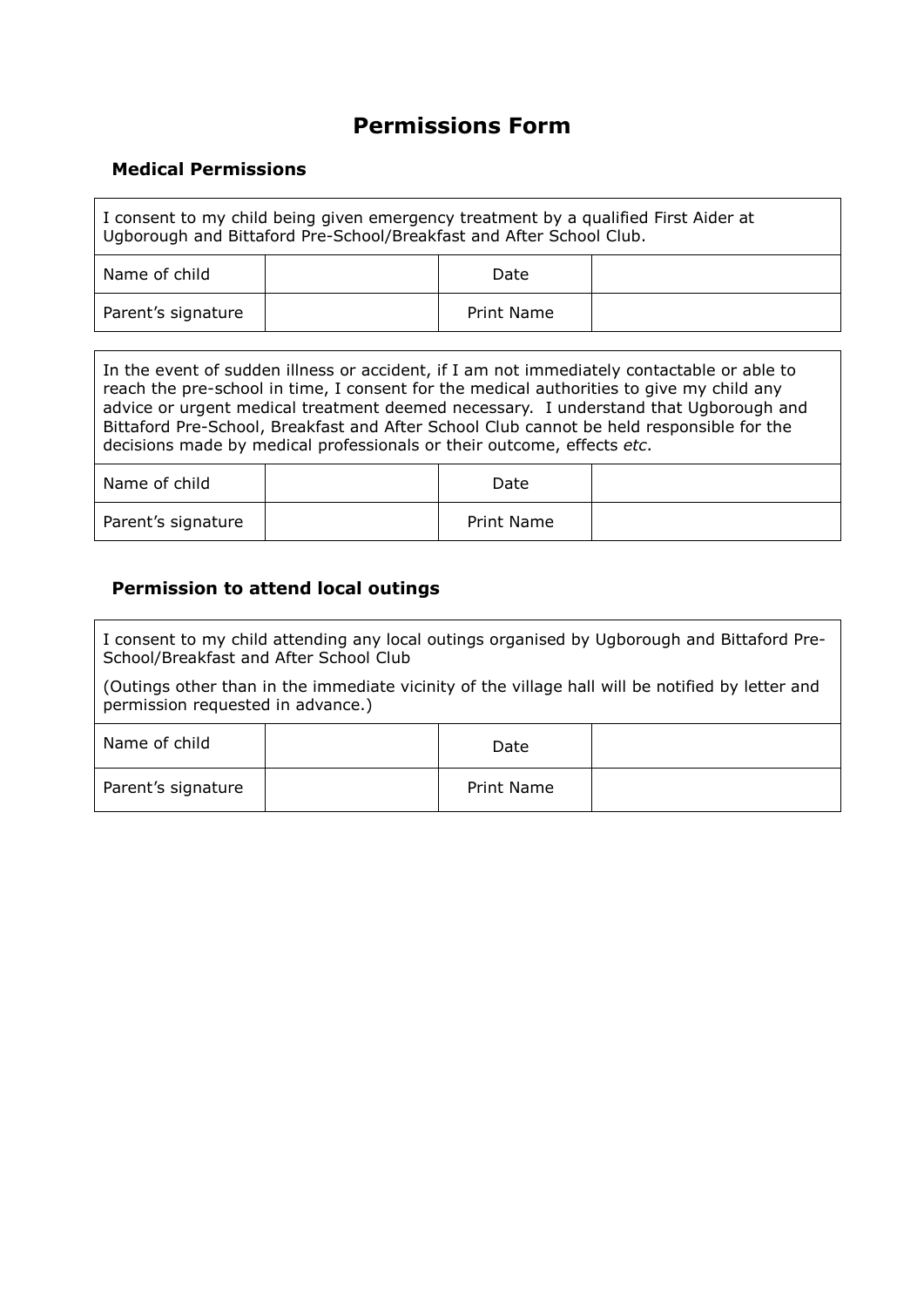# **Permissions Form**

## **Medical Permissions**

| I consent to my child being given emergency treatment by a qualified First Aider at<br>Ugborough and Bittaford Pre-School/Breakfast and After School Club. |  |  |  |  |  |
|------------------------------------------------------------------------------------------------------------------------------------------------------------|--|--|--|--|--|
| Name of child<br>Date                                                                                                                                      |  |  |  |  |  |
| Parent's signature<br>Print Name                                                                                                                           |  |  |  |  |  |

In the event of sudden illness or accident, if I am not immediately contactable or able to reach the pre-school in time, I consent for the medical authorities to give my child any advice or urgent medical treatment deemed necessary. I understand that Ugborough and Bittaford Pre-School, Breakfast and After School Club cannot be held responsible for the decisions made by medical professionals or their outcome, effects *etc*.

| Name of child      | Date       |  |
|--------------------|------------|--|
| Parent's signature | Print Name |  |

#### **Permission to attend local outings**

I consent to my child attending any local outings organised by Ugborough and Bittaford Pre-School/Breakfast and After School Club

(Outings other than in the immediate vicinity of the village hall will be notified by letter and permission requested in advance.)

| Name of child      | Date       |  |
|--------------------|------------|--|
| Parent's signature | Print Name |  |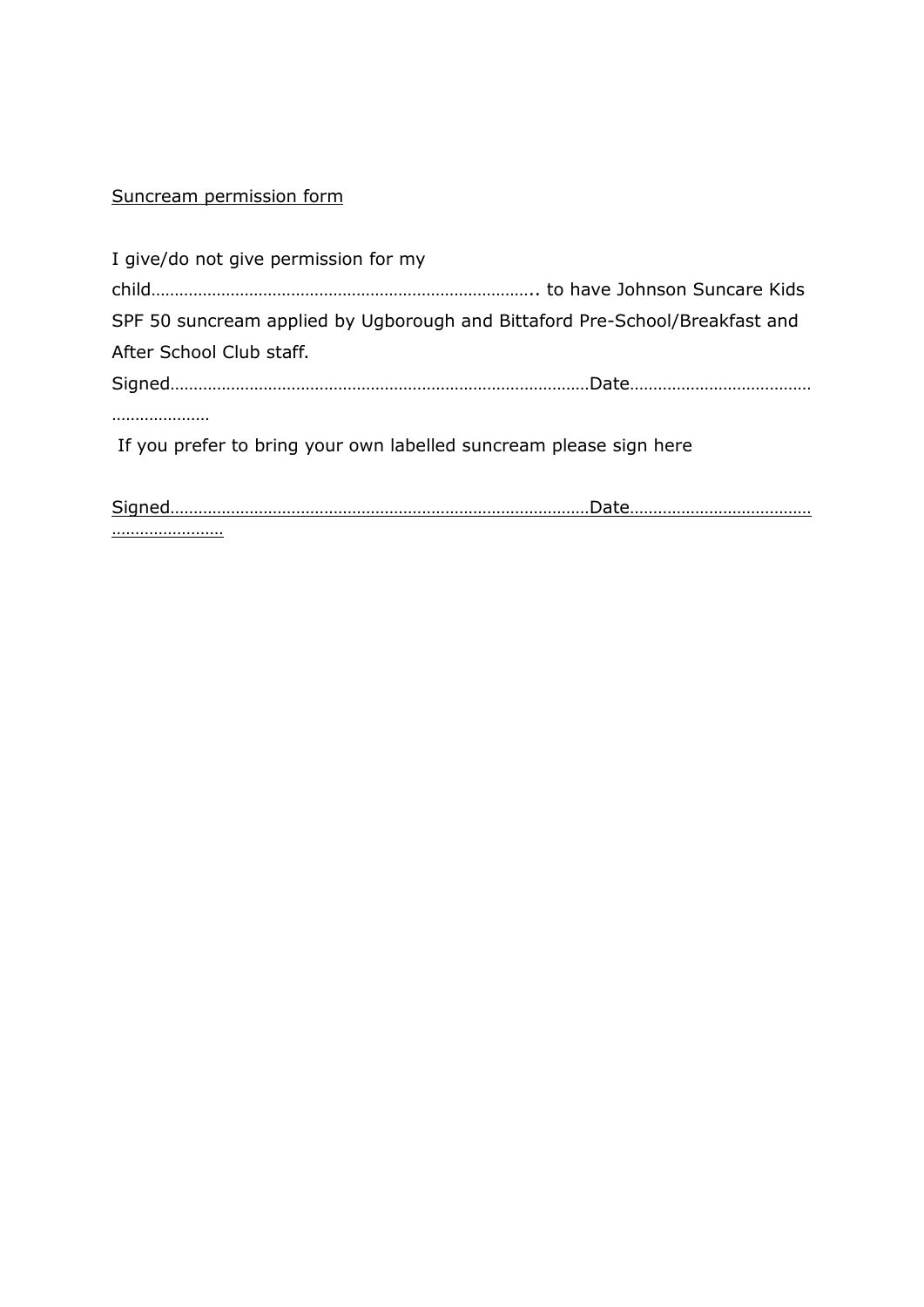## Suncream permission form

| I give/do not give permission for my                                        |  |
|-----------------------------------------------------------------------------|--|
|                                                                             |  |
| SPF 50 suncream applied by Ugborough and Bittaford Pre-School/Breakfast and |  |
| After School Club staff.                                                    |  |
|                                                                             |  |
|                                                                             |  |
| If you prefer to bring your own labelled suncream please sign here          |  |
|                                                                             |  |
|                                                                             |  |

……………………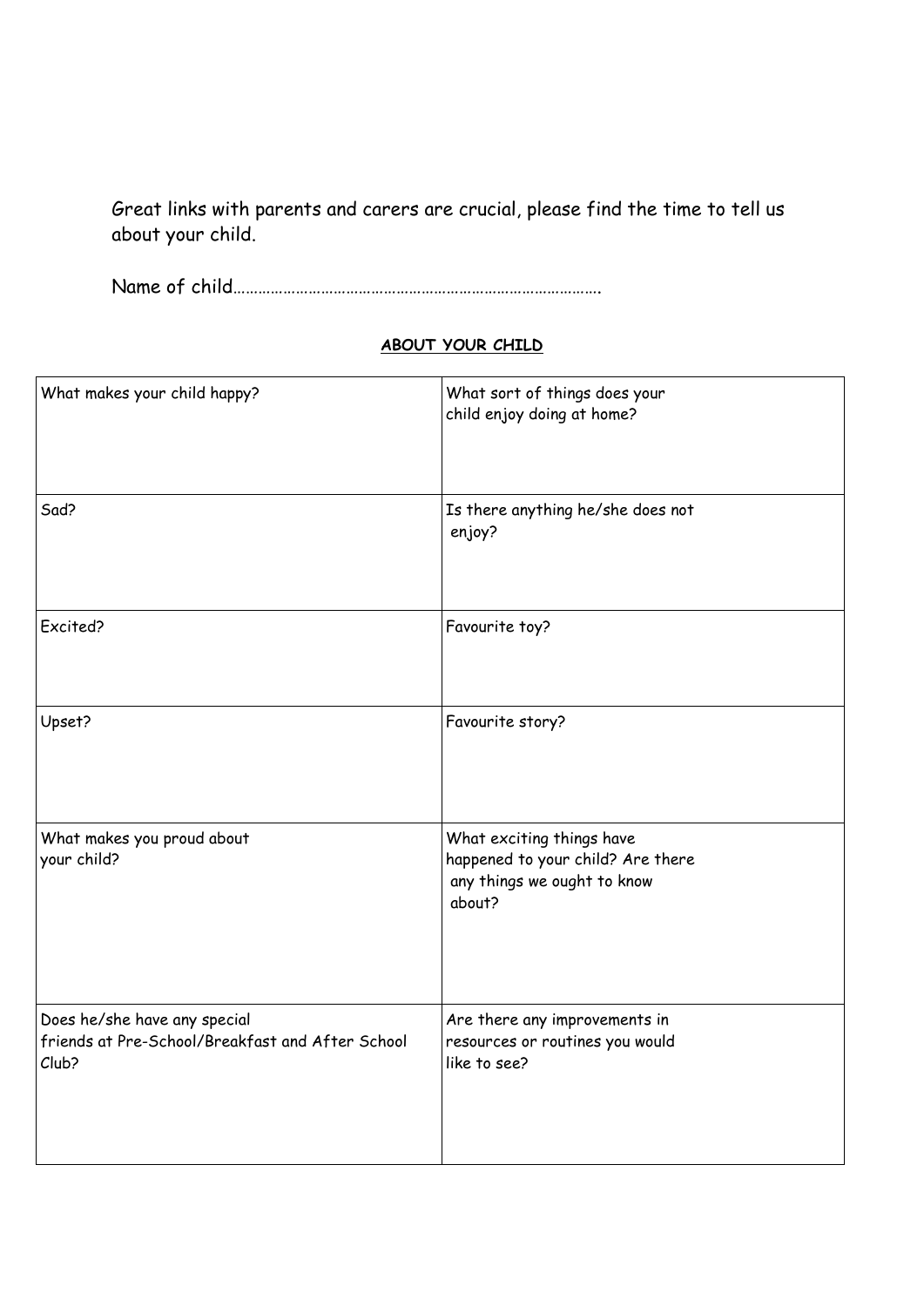Great links with parents and carers are crucial, please find the time to tell us about your child.

Name of child…………………………………………………………………………….

## **ABOUT YOUR CHILD**

| What makes your child happy?                                                              | What sort of things does your<br>child enjoy doing at home?                                             |
|-------------------------------------------------------------------------------------------|---------------------------------------------------------------------------------------------------------|
| Sad?                                                                                      | Is there anything he/she does not<br>enjoy?                                                             |
| Excited?                                                                                  | Favourite toy?                                                                                          |
| Upset?                                                                                    | Favourite story?                                                                                        |
| What makes you proud about<br>your child?                                                 | What exciting things have<br>happened to your child? Are there<br>any things we ought to know<br>about? |
| Does he/she have any special<br>friends at Pre-School/Breakfast and After School<br>Club? | Are there any improvements in<br>resources or routines you would<br>like to see?                        |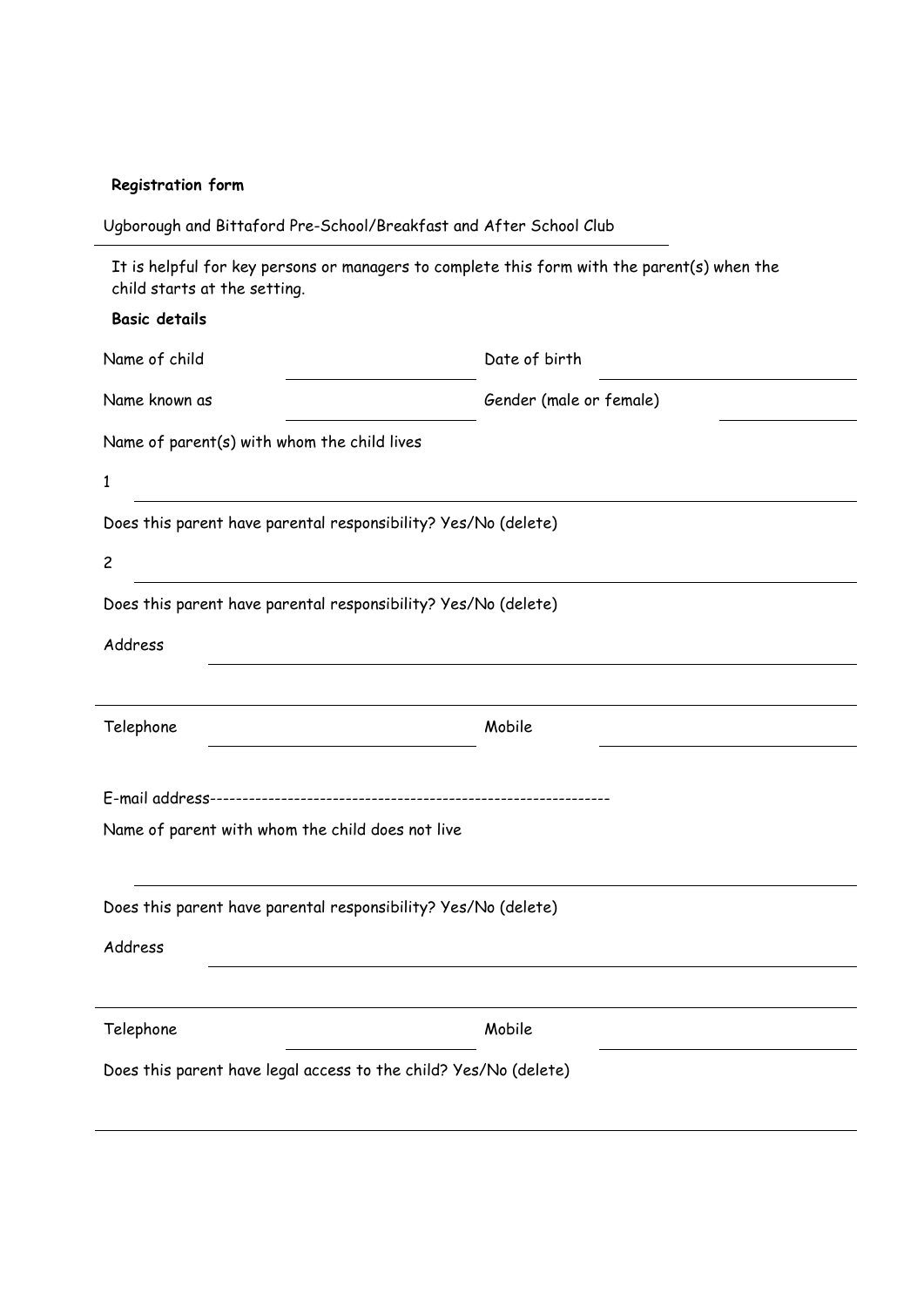## **Registration form**

| It is helpful for key persons or managers to complete this form with the parent(s) when the<br>child starts at the setting. |                                                                |  |
|-----------------------------------------------------------------------------------------------------------------------------|----------------------------------------------------------------|--|
| <b>Basic details</b>                                                                                                        |                                                                |  |
| Name of child                                                                                                               | Date of birth                                                  |  |
| Name known as                                                                                                               | Gender (male or female)                                        |  |
| Name of parent(s) with whom the child lives                                                                                 |                                                                |  |
| $\mathbf 1$                                                                                                                 |                                                                |  |
|                                                                                                                             | Does this parent have parental responsibility? Yes/No (delete) |  |
| $\overline{c}$                                                                                                              |                                                                |  |
|                                                                                                                             |                                                                |  |
| Does this parent have parental responsibility? Yes/No (delete)                                                              |                                                                |  |
| Address                                                                                                                     |                                                                |  |
|                                                                                                                             |                                                                |  |
| Telephone                                                                                                                   | Mobile                                                         |  |
|                                                                                                                             |                                                                |  |
| Name of parent with whom the child does not live                                                                            |                                                                |  |
|                                                                                                                             | Does this parent have parental responsibility? Yes/No (delete) |  |
| Address                                                                                                                     |                                                                |  |
|                                                                                                                             |                                                                |  |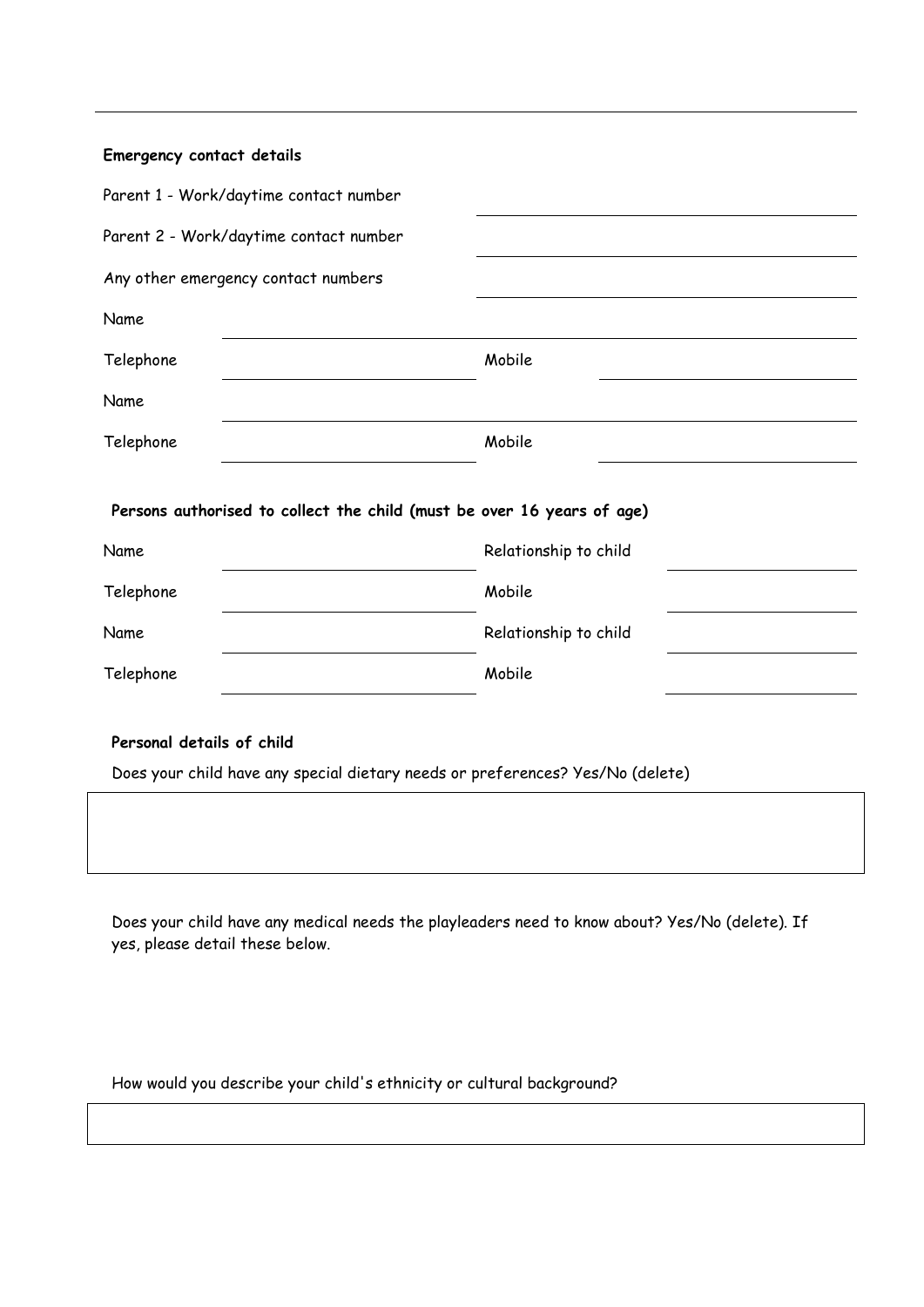| Emergency contact details                                                                                   |                       |
|-------------------------------------------------------------------------------------------------------------|-----------------------|
| Parent 1 - Work/daytime contact number                                                                      |                       |
| Parent 2 - Work/daytime contact number                                                                      |                       |
| Any other emergency contact numbers                                                                         |                       |
| Name                                                                                                        |                       |
| Telephone                                                                                                   | Mobile                |
| Name                                                                                                        |                       |
| Telephone                                                                                                   | Mobile                |
| Persons authorised to collect the child (must be over 16 years of age)                                      |                       |
| Name                                                                                                        | Relationship to child |
| Telephone                                                                                                   | Mobile                |
| Name                                                                                                        | Relationship to child |
| Telephone                                                                                                   | Mobile                |
| Personal details of child<br>Does your child have any special dietary needs or preferences? Yes/No (delete) |                       |

Does your child have any medical needs the playleaders need to know about? Yes/No (delete). If yes, please detail these below.

How would you describe your child's ethnicity or cultural background?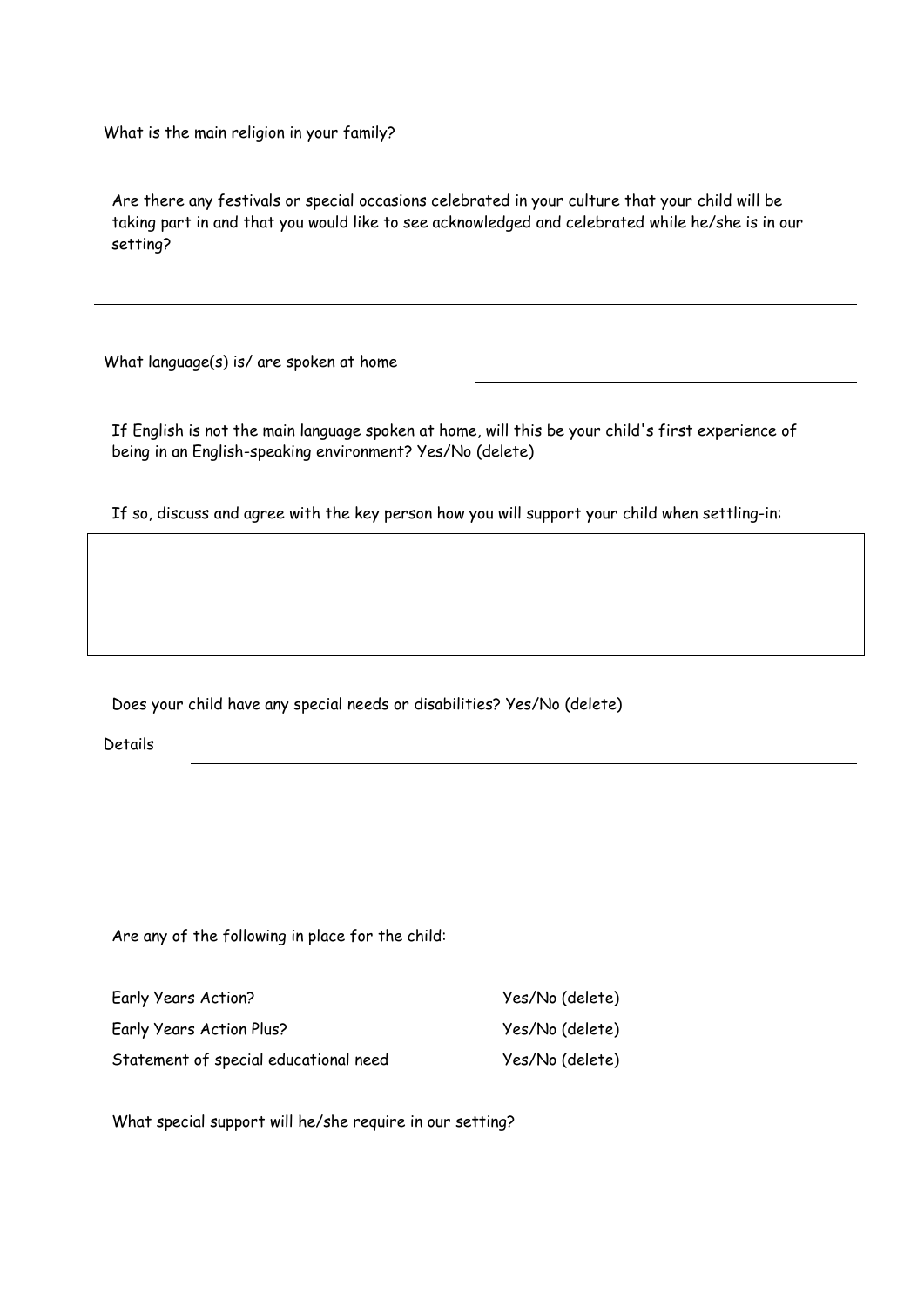What is the main religion in your family?

Are there any festivals or special occasions celebrated in your culture that your child will be taking part in and that you would like to see acknowledged and celebrated while he/she is in our setting?

What language(s) is/ are spoken at home

If English is not the main language spoken at home, will this be your child's first experience of being in an English-speaking environment? Yes/No (delete)

If so, discuss and agree with the key person how you will support your child when settling-in:

Does your child have any special needs or disabilities? Yes/No (delete)

Details

Are any of the following in place for the child:

| Early Years Action?                   | Yes/No (delete) |
|---------------------------------------|-----------------|
| Early Years Action Plus?              | Yes/No (delete) |
| Statement of special educational need | Yes/No (delete) |

What special support will he/she require in our setting?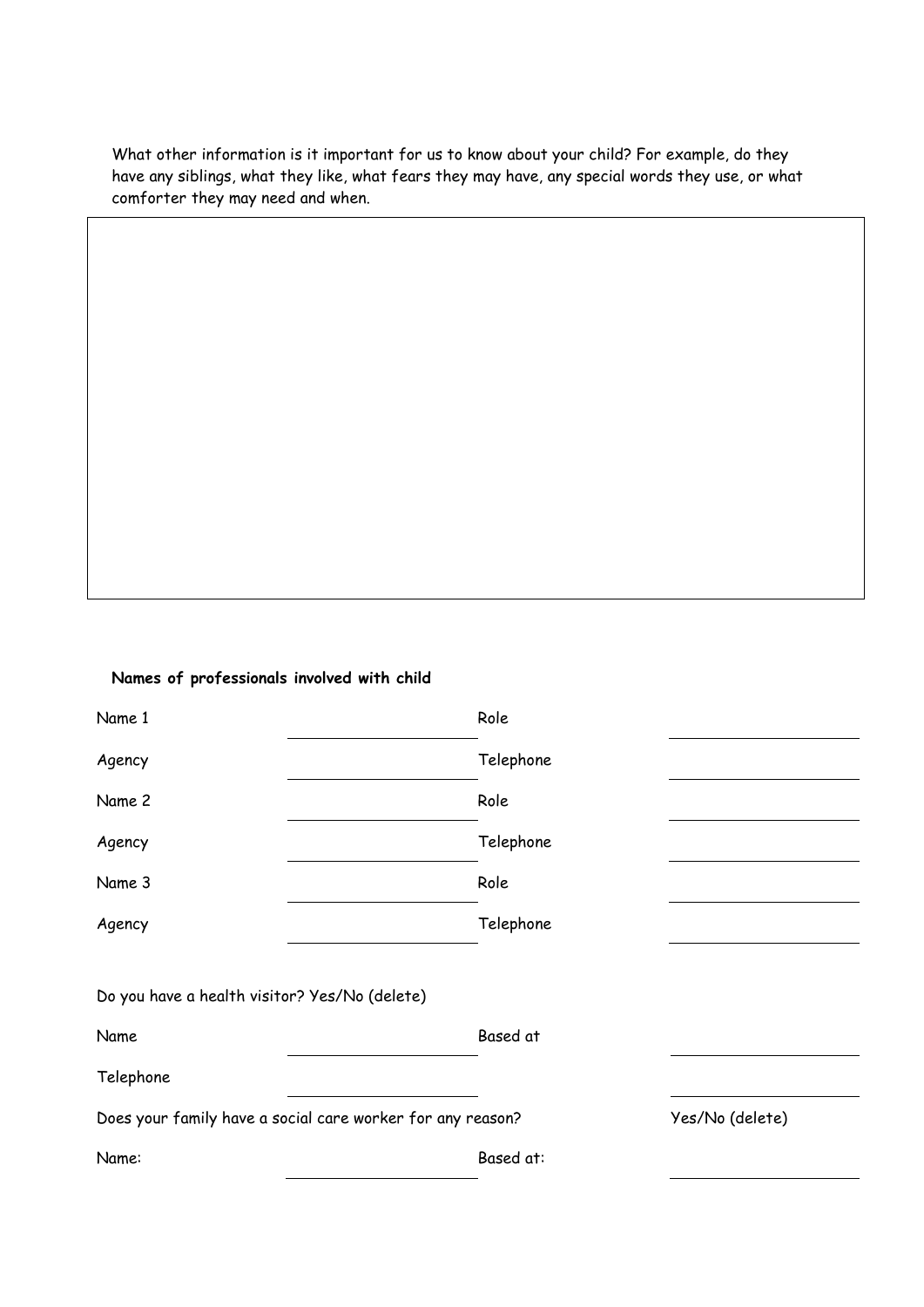What other information is it important for us to know about your child? For example, do they have any siblings, what they like, what fears they may have, any special words they use, or what comforter they may need and when.

#### **Names of professionals involved with child**

| Name 1                                        | Role                                                       |                 |
|-----------------------------------------------|------------------------------------------------------------|-----------------|
| Agency                                        | Telephone                                                  |                 |
| Name 2                                        | Role                                                       |                 |
| Agency                                        | Telephone                                                  |                 |
| Name 3                                        | Role                                                       |                 |
| Agency                                        | Telephone                                                  |                 |
|                                               |                                                            |                 |
| Do you have a health visitor? Yes/No (delete) |                                                            |                 |
| Name                                          | Based at                                                   |                 |
| Telephone                                     |                                                            |                 |
|                                               | Does your family have a social care worker for any reason? | Yes/No (delete) |
| Name:                                         | Based at:                                                  |                 |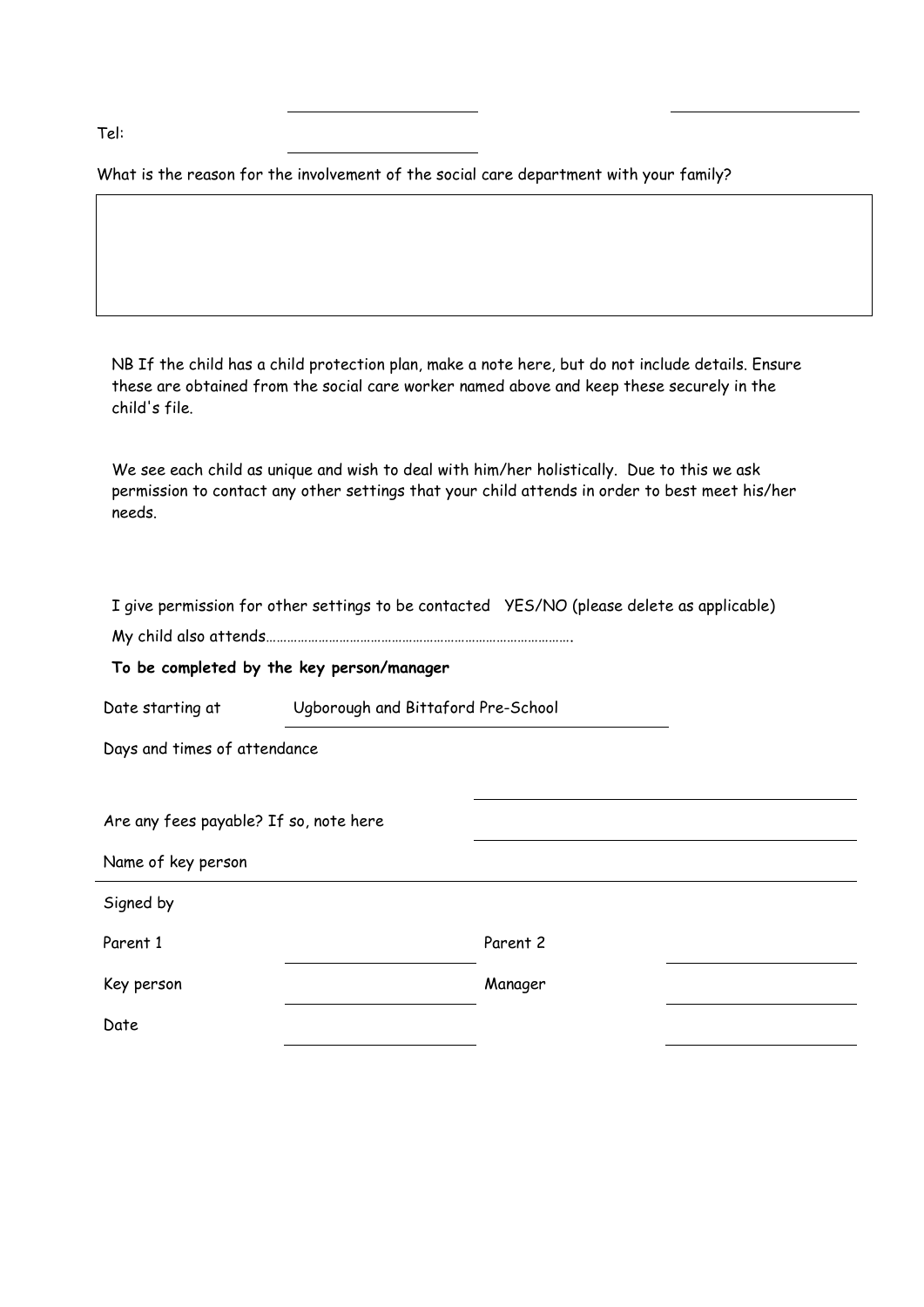Tel:

What is the reason for the involvement of the social care department with your family?

NB If the child has a child protection plan, make a note here, but do not include details. Ensure these are obtained from the social care worker named above and keep these securely in the child's file.

We see each child as unique and wish to deal with him/her holistically. Due to this we ask permission to contact any other settings that your child attends in order to best meet his/her needs.

|                                        |                                           | I give permission for other settings to be contacted YES/NO (please delete as applicable) |  |  |
|----------------------------------------|-------------------------------------------|-------------------------------------------------------------------------------------------|--|--|
|                                        |                                           |                                                                                           |  |  |
|                                        | To be completed by the key person/manager |                                                                                           |  |  |
| Date starting at                       |                                           | Ugborough and Bittaford Pre-School                                                        |  |  |
| Days and times of attendance           |                                           |                                                                                           |  |  |
| Are any fees payable? If so, note here |                                           |                                                                                           |  |  |
| Name of key person                     |                                           |                                                                                           |  |  |
| Signed by                              |                                           |                                                                                           |  |  |
| Parent 1                               |                                           | Parent 2                                                                                  |  |  |
| Key person                             |                                           | Manager                                                                                   |  |  |
| Date                                   |                                           |                                                                                           |  |  |
|                                        |                                           |                                                                                           |  |  |